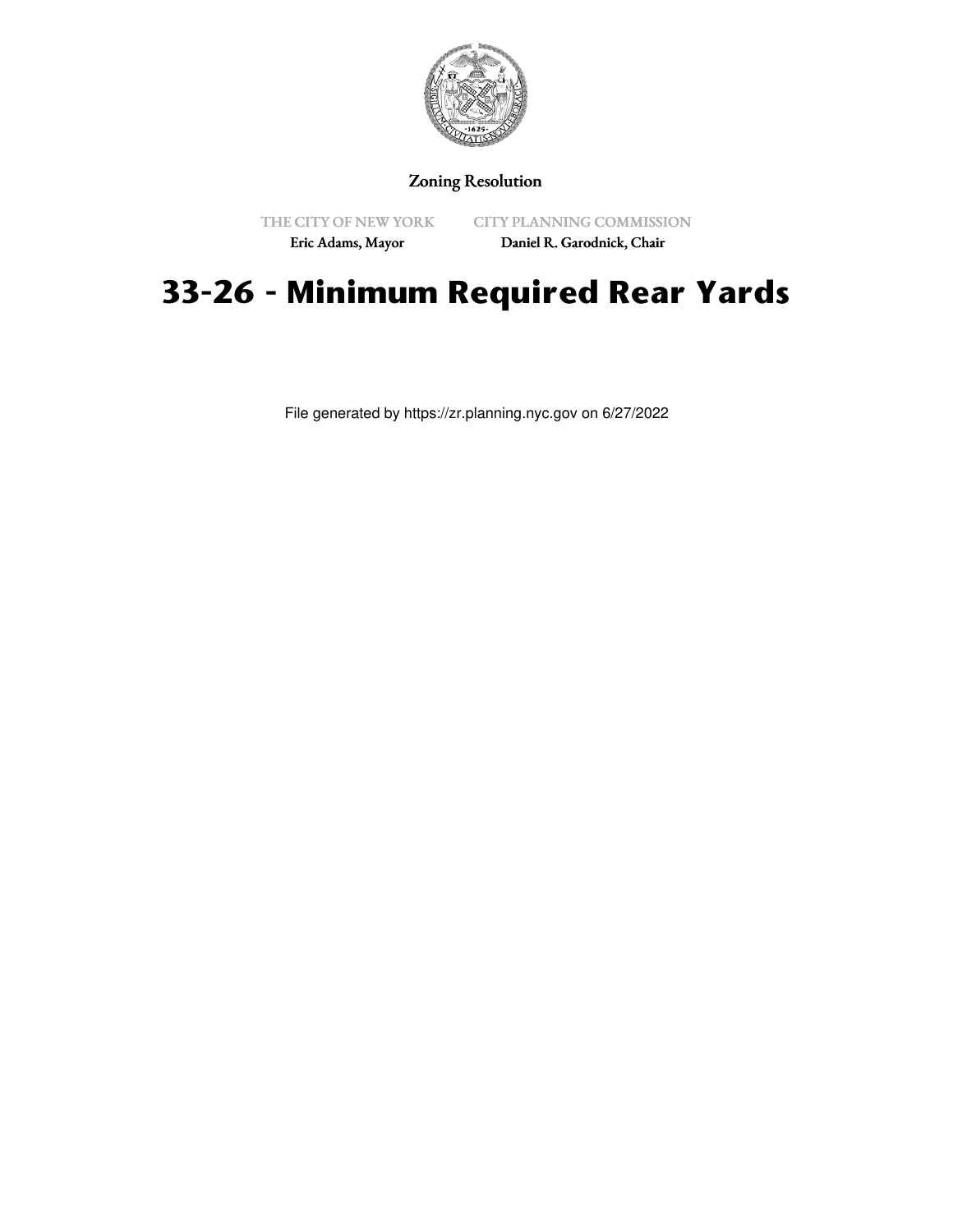

# Zoning Resolution

THE CITY OF NEW YORK Eric Adams, Mayor

CITY PLANNING COMMISSION Daniel R. Garodnick, Chair

# **33-26 - Minimum Required Rear Yards**

File generated by https://zr.planning.nyc.gov on 6/27/2022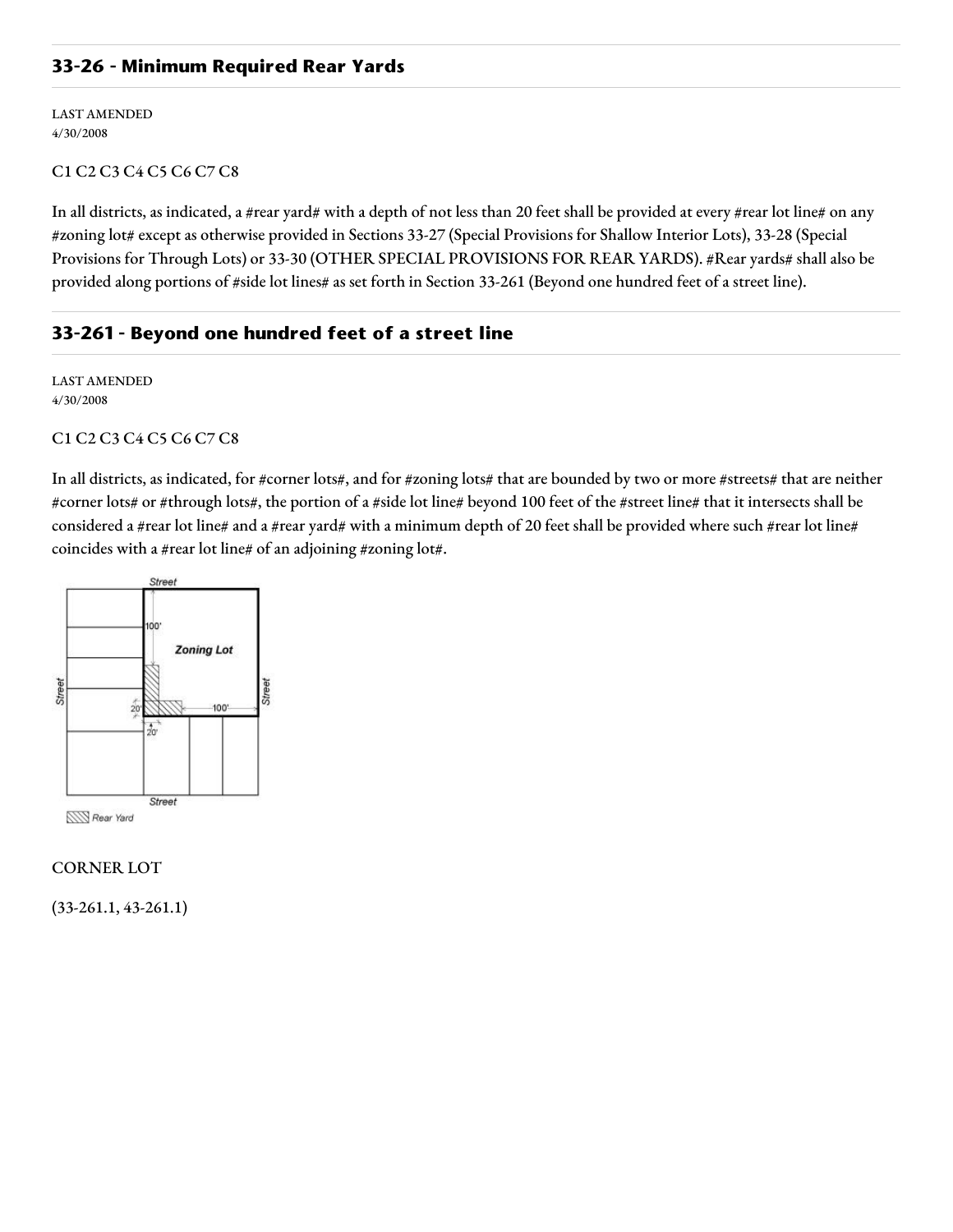## **33-26 - Minimum Required Rear Yards**

LAST AMENDED 4/30/2008

## C1 C2 C3 C4 C5 C6 C7 C8

In all districts, as indicated, a #rear yard# with a depth of not less than 20 feet shall be provided at every #rear lot line# on any #zoning lot# except as otherwise provided in Sections 33-27 (Special Provisions for Shallow Interior Lots), 33-28 (Special Provisions for Through Lots) or 33-30 (OTHER SPECIAL PROVISIONS FOR REAR YARDS). #Rear yards# shall also be provided along portions of #side lot lines# as set forth in Section 33-261 (Beyond one hundred feet of a street line).

## **33-261 - Beyond one hundred feet of a street line**

LAST AMENDED 4/30/2008

### C1 C2 C3 C4 C5 C6 C7 C8

In all districts, as indicated, for #corner lots#, and for #zoning lots# that are bounded by two or more #streets# that are neither #corner lots# or #through lots#, the portion of a #side lot line# beyond 100 feet of the #street line# that it intersects shall be considered a #rear lot line# and a #rear yard# with a minimum depth of 20 feet shall be provided where such #rear lot line# coincides with a #rear lot line# of an adjoining #zoning lot#.



### CORNER LOT

(33-261.1, 43-261.1)